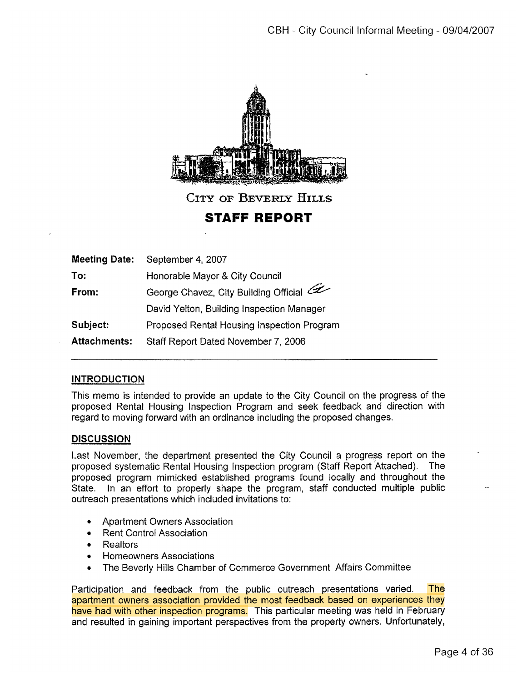

CITY OF BEVERLY HILLS

STAFF REPORT

| <b>Meeting Date:</b> | September 4, 2007                          |
|----------------------|--------------------------------------------|
| To:                  | Honorable Mayor & City Council             |
| From:                | George Chavez, City Building Official      |
|                      | David Yelton, Building Inspection Manager  |
| Subject:             | Proposed Rental Housing Inspection Program |
| <b>Attachments:</b>  | Staff Report Dated November 7, 2006        |

## INTRODUCTION

This memo is intended to provide an update to the City Council on the progress of the proposed Rental Housing Inspection Program and seek feedback and direction with regard to moving forward with an ordinance including the proposed changes.

## **DISCUSSION**

Last November, the department presented the City Council a progress report on the proposed systematic Rental Housing Inspection program (Staff Report Attached). The proposed program mimicked established programs found locally and throughout the State. In an effort to properly shape the program, staff conducted multiple public outreach presentations which included invitations to:

- Apartment Owners Association
- Rent Control Association
- Realtors
- Homeowners Associations
- The Beverly Hills Chamber of Commerce Government Affairs Committee

Participation and feedback from the public outreach presentations varied. The apartment owners association provided the most feedback based on experiences they have had with other inspection programs. This particular meeting was held in February and resulted in gaining important perspectives from the property owners. Unfortunately,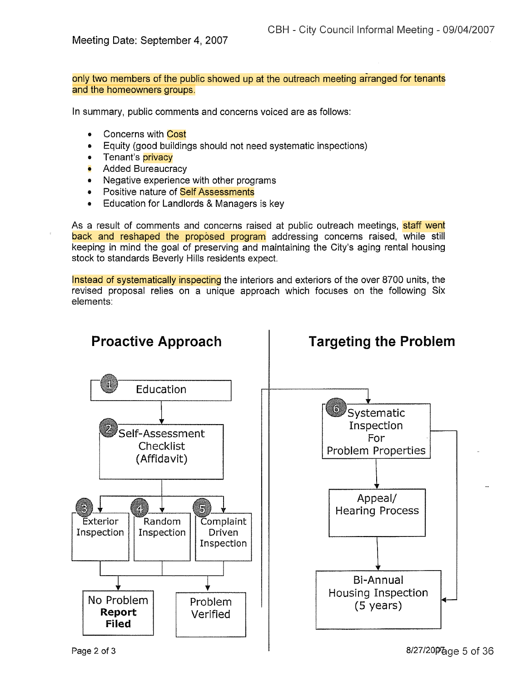Meeting Date: September 4, 2007

only two members of the public showed up at the outreach meeting aranged for tenants and the homeowners groups.

In summary, public comments and concerns voiced are as follows:

- Concerns with Cost
- Equity (good buildings should not need systematic inspections)
- Tenant's **privacy**
- **Added Bureaucracy**
- Negative experience with other programs
- Positive nature of Self Assessments
- Education for Landlords & Managers is key

As a result of comments and concerns raised at public outreach meetings, **staff went** back and reshaped the proposed program addressing concerns raised, while still keeping in mind the goal of preserving and maintaining the City's aging rental housing stock to standards Beverly Hills residents expect.

Instead of systematically inspecting the interiors and exteriors of the over 8700 units, the revised proposal relies on a unique approach which focuses on the following Six elements:



Page 2 of 3  $\overline{8/27/20}$   $\overline{96}$ ge 5 of 36